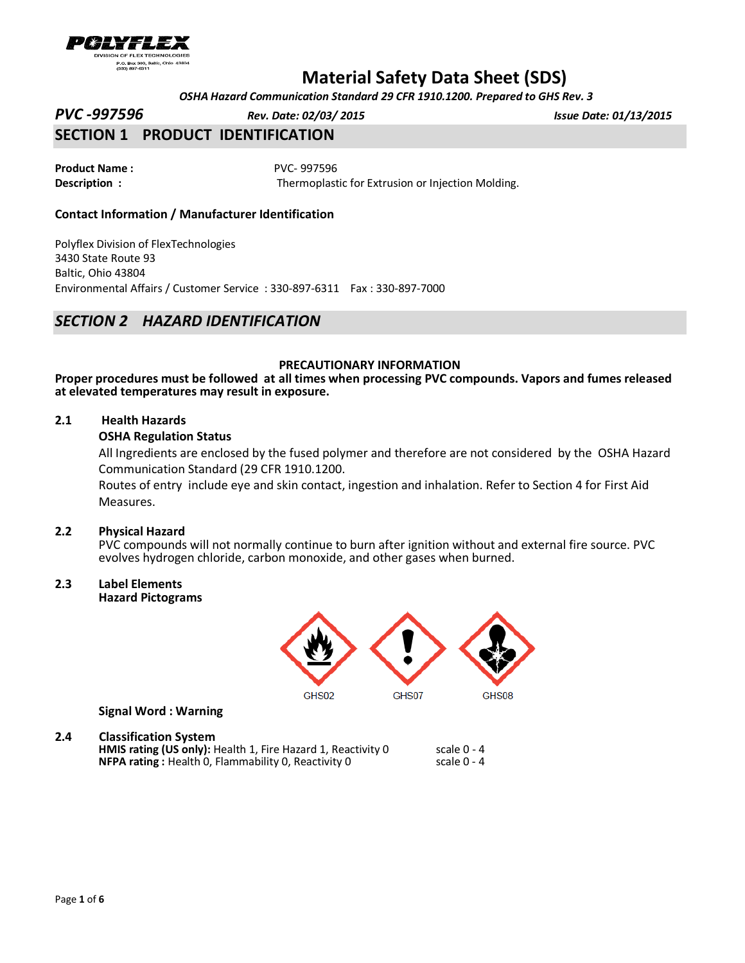

 *OSHA Hazard Communication Standard 29 CFR 1910.1200. Prepared to GHS Rev. 3*

*PVC -997596 Rev. Date: 02/03/ 2015 Issue Date: 01/13/2015*

# **SECTION 1 PRODUCT IDENTIFICATION**

**Product Name :** PVC- 997596

**Description :** Thermoplastic for Extrusion or Injection Molding.

### **Contact Information / Manufacturer Identification**

Polyflex Division of FlexTechnologies 3430 State Route 93 Baltic, Ohio 43804 Environmental Affairs / Customer Service : 330-897-6311 Fax : 330-897-7000

## *SECTION 2 HAZARD IDENTIFICATION*

### **PRECAUTIONARY INFORMATION**

**Proper procedures must be followed at all times when processing PVC compounds. Vapors and fumes released at elevated temperatures may result in exposure.**

### **2.1 Health Hazards**

### **OSHA Regulation Status**

All Ingredients are enclosed by the fused polymer and therefore are not considered by the OSHA Hazard Communication Standard (29 CFR 1910.1200.

Routes of entry include eye and skin contact, ingestion and inhalation. Refer to Section 4 for First Aid Measures.

### **2.2 Physical Hazard**

PVC compounds will not normally continue to burn after ignition without and external fire source. PVC evolves hydrogen chloride, carbon monoxide, and other gases when burned.

## **2.3 Label Elements**

**Hazard Pictograms** 



**Signal Word : Warning** 

### **2.4 Classification System**

**HMIS rating (US only):** Health 1, Fire Hazard 1, Reactivity 0 scale 0 - 4<br>**NFPA rating:** Health 0, Flammability 0, Reactivity 0 scale 0 - 4 **NFPA rating**: Health 0, Flammability 0, Reactivity 0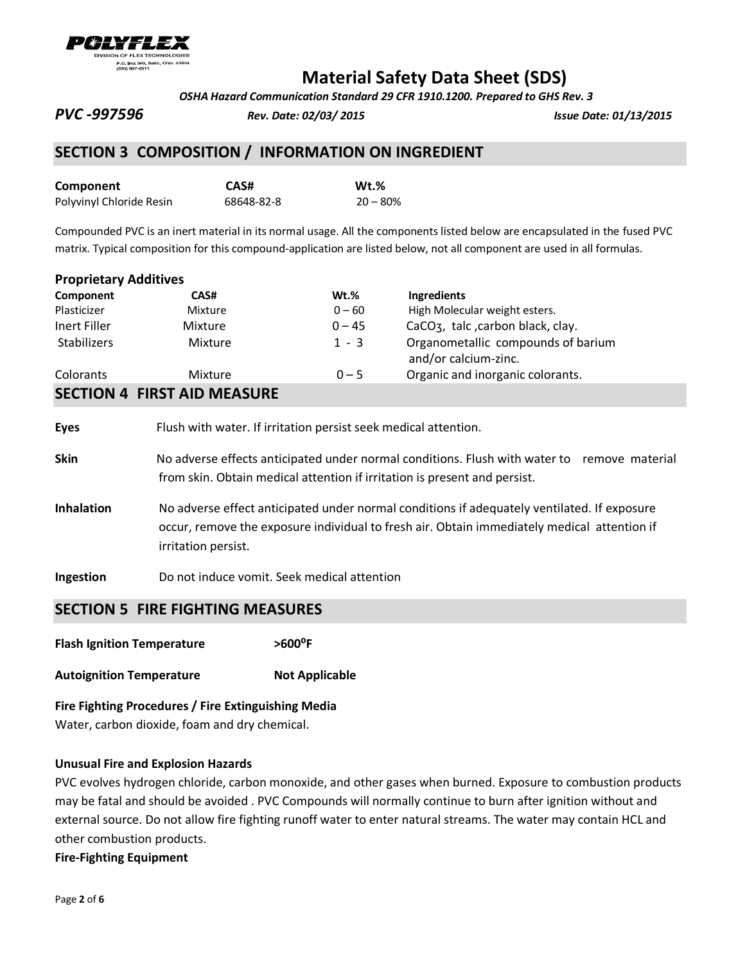

 *OSHA Hazard Communication Standard 29 CFR 1910.1200. Prepared to GHS Rev. 3*

*PVC -997596 Rev. Date: 02/03/ 2015 Issue Date: 01/13/2015*

### **SECTION 3 COMPOSITION / INFORMATION ON INGREDIENT**

| Component                | CAS#       | $Wt.\%$    |
|--------------------------|------------|------------|
| Polyvinyl Chloride Resin | 68648-82-8 | $20 - 80%$ |

Compounded PVC is an inert material in its normal usage. All the components listed below are encapsulated in the fused PVC matrix. Typical composition for this compound-application are listed below, not all component are used in all formulas.

| Component                          | CAS#           | $Wt.\%$  | <b>Ingredients</b>                                         |
|------------------------------------|----------------|----------|------------------------------------------------------------|
| Plasticizer                        | Mixture        | $0 - 60$ | High Molecular weight esters.                              |
| Inert Filler                       | <b>Mixture</b> | $0 - 45$ | CaCO <sub>3</sub> , talc, carbon black, clay.              |
| <b>Stabilizers</b>                 | Mixture        | $1 - 3$  | Organometallic compounds of barium<br>and/or calcium-zinc. |
| Colorants                          | Mixture        | $0 - 5$  | Organic and inorganic colorants.                           |
| <b>SECTION 4 FIRST AID MEASURE</b> |                |          |                                                            |

| <b>Eyes</b>       | Flush with water. If irritation persist seek medical attention.                                                                                                                                                   |  |
|-------------------|-------------------------------------------------------------------------------------------------------------------------------------------------------------------------------------------------------------------|--|
| <b>Skin</b>       | No adverse effects anticipated under normal conditions. Flush with water to<br>remove material<br>from skin. Obtain medical attention if irritation is present and persist.                                       |  |
| <b>Inhalation</b> | No adverse effect anticipated under normal conditions if adequately ventilated. If exposure<br>occur, remove the exposure individual to fresh air. Obtain immediately medical attention if<br>irritation persist. |  |
| <b>Ingestion</b>  | Do not induce vomit. Seek medical attention                                                                                                                                                                       |  |

## **SECTION 5 FIRE FIGHTING MEASURES**

- **Flash Ignition Temperature ˃600⁰F**
- **Autoignition Temperature Not Applicable**

**Fire Fighting Procedures / Fire Extinguishing Media** Water, carbon dioxide, foam and dry chemical.

### **Unusual Fire and Explosion Hazards**

PVC evolves hydrogen chloride, carbon monoxide, and other gases when burned. Exposure to combustion products may be fatal and should be avoided . PVC Compounds will normally continue to burn after ignition without and external source. Do not allow fire fighting runoff water to enter natural streams. The water may contain HCL and other combustion products.

**Fire-Fighting Equipment**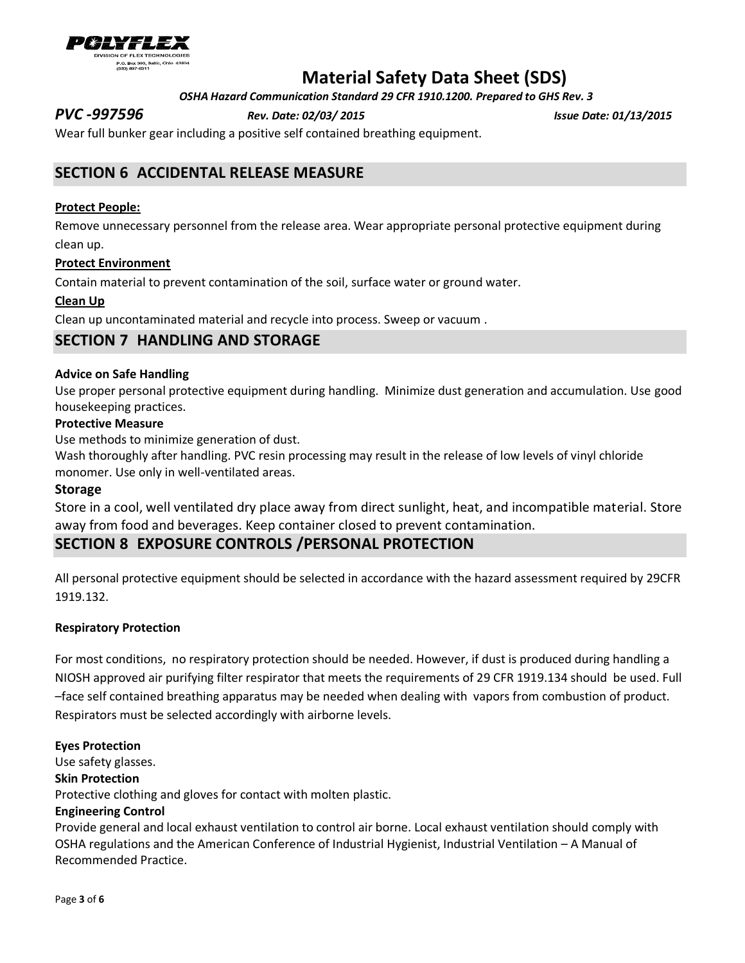

 *OSHA Hazard Communication Standard 29 CFR 1910.1200. Prepared to GHS Rev. 3*

*PVC -997596 Rev. Date: 02/03/ 2015 Issue Date: 01/13/2015*

Wear full bunker gear including a positive self contained breathing equipment.

# **SECTION 6 ACCIDENTAL RELEASE MEASURE**

### **Protect People:**

Remove unnecessary personnel from the release area. Wear appropriate personal protective equipment during clean up.

### **Protect Environment**

Contain material to prevent contamination of the soil, surface water or ground water.

### **Clean Up**

Clean up uncontaminated material and recycle into process. Sweep or vacuum .

### **SECTION 7 HANDLING AND STORAGE**

### **Advice on Safe Handling**

Use proper personal protective equipment during handling. Minimize dust generation and accumulation. Use good housekeeping practices.

### **Protective Measure**

Use methods to minimize generation of dust.

Wash thoroughly after handling. PVC resin processing may result in the release of low levels of vinyl chloride monomer. Use only in well-ventilated areas.

### **Storage**

Store in a cool, well ventilated dry place away from direct sunlight, heat, and incompatible material. Store away from food and beverages. Keep container closed to prevent contamination.

### **SECTION 8 EXPOSURE CONTROLS /PERSONAL PROTECTION**

All personal protective equipment should be selected in accordance with the hazard assessment required by 29CFR 1919.132.

### **Respiratory Protection**

For most conditions, no respiratory protection should be needed. However, if dust is produced during handling a NIOSH approved air purifying filter respirator that meets the requirements of 29 CFR 1919.134 should be used. Full –face self contained breathing apparatus may be needed when dealing with vapors from combustion of product. Respirators must be selected accordingly with airborne levels.

### **Eyes Protection**

Use safety glasses.

### **Skin Protection**

Protective clothing and gloves for contact with molten plastic.

### **Engineering Control**

Provide general and local exhaust ventilation to control air borne. Local exhaust ventilation should comply with OSHA regulations and the American Conference of Industrial Hygienist, Industrial Ventilation – A Manual of Recommended Practice.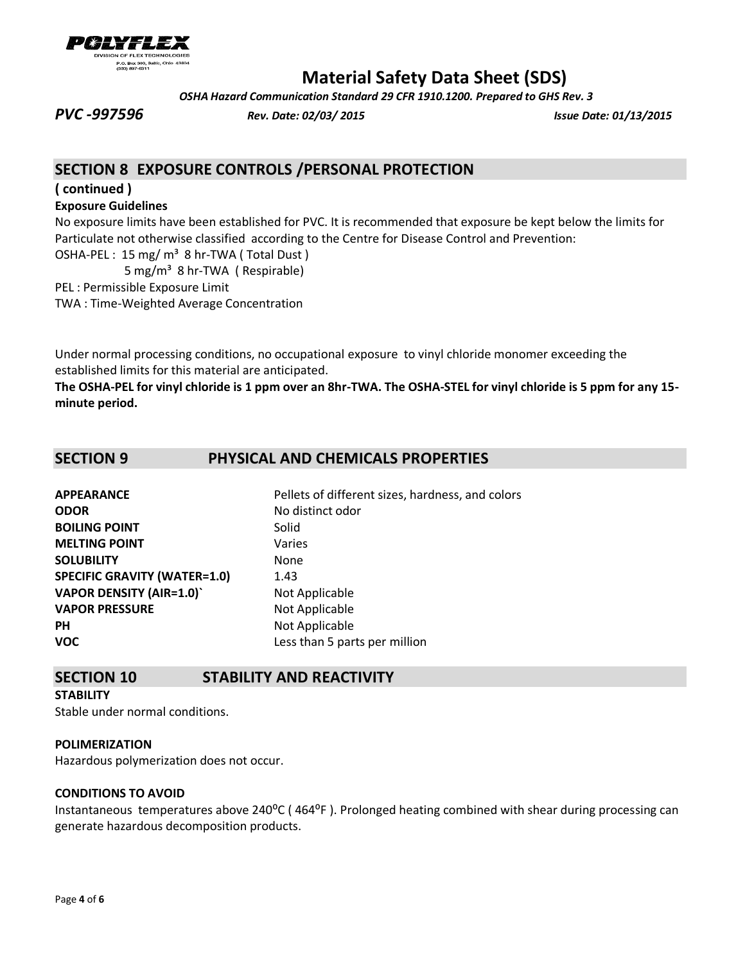

 *OSHA Hazard Communication Standard 29 CFR 1910.1200. Prepared to GHS Rev. 3*

*PVC -997596 Rev. Date: 02/03/ 2015 Issue Date: 01/13/2015*

# **SECTION 8 EXPOSURE CONTROLS /PERSONAL PROTECTION**

**( continued )** 

### **Exposure Guidelines**

No exposure limits have been established for PVC. It is recommended that exposure be kept below the limits for Particulate not otherwise classified according to the Centre for Disease Control and Prevention:

OSHA-PEL: 15 mg/ m<sup>3</sup> 8 hr-TWA (Total Dust)

5 mg/m³ 8 hr-TWA ( Respirable)

PEL : Permissible Exposure Limit

TWA : Time-Weighted Average Concentration

Under normal processing conditions, no occupational exposure to vinyl chloride monomer exceeding the established limits for this material are anticipated.

**The OSHA-PEL for vinyl chloride is 1 ppm over an 8hr-TWA. The OSHA-STEL for vinyl chloride is 5 ppm for any 15 minute period.**

# **SECTION 9 PHYSICAL AND CHEMICALS PROPERTIES**

| Pellets of different sizes, hardness, and colors |
|--------------------------------------------------|
| No distinct odor                                 |
| Solid                                            |
| Varies                                           |
| None                                             |
| 1.43                                             |
| Not Applicable                                   |
| Not Applicable                                   |
| Not Applicable                                   |
| Less than 5 parts per million                    |
|                                                  |

## **SECTION 10 STABILITY AND REACTIVITY**

### **STABILITY**

Stable under normal conditions.

### **POLIMERIZATION**

Hazardous polymerization does not occur.

### **CONDITIONS TO AVOID**

Instantaneous temperatures above 240°C (464°F). Prolonged heating combined with shear during processing can generate hazardous decomposition products.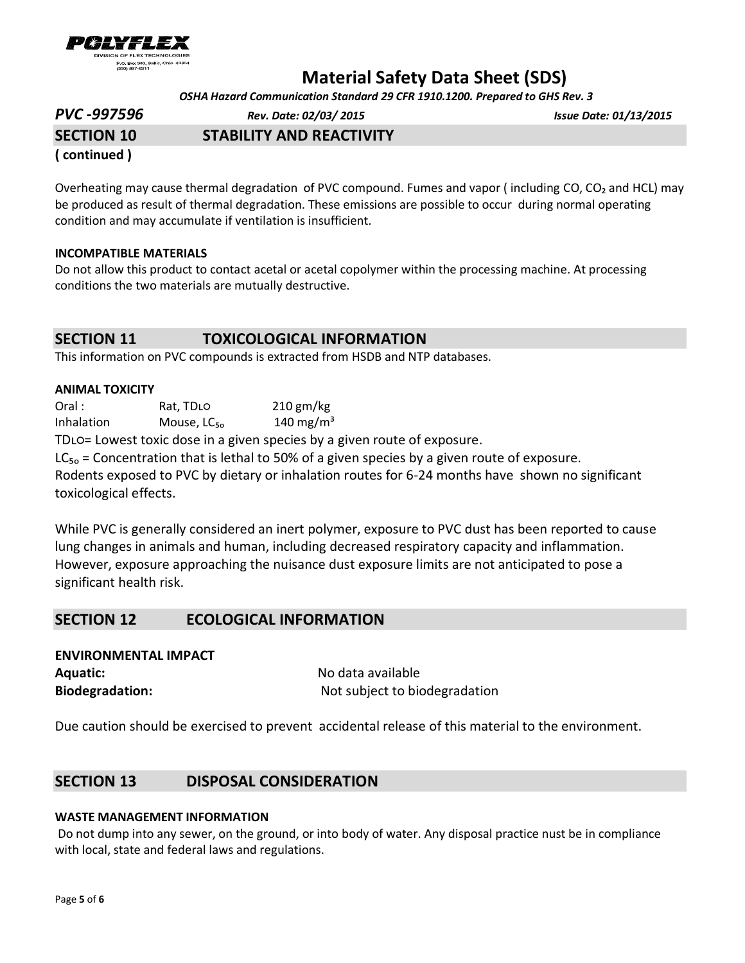

 *OSHA Hazard Communication Standard 29 CFR 1910.1200. Prepared to GHS Rev. 3*

| <b>PVC -997596</b> | Rev. Date: 02/03/ 2015          | <b>Issue Date: 01/13/2015</b> |
|--------------------|---------------------------------|-------------------------------|
| <b>SECTION 10</b>  | <b>STABILITY AND REACTIVITY</b> |                               |
|                    |                                 |                               |

**( continued )** 

Overheating may cause thermal degradation of PVC compound. Fumes and vapor (including CO, CO<sub>2</sub> and HCL) may be produced as result of thermal degradation. These emissions are possible to occur during normal operating condition and may accumulate if ventilation is insufficient.

### **INCOMPATIBLE MATERIALS**

Do not allow this product to contact acetal or acetal copolymer within the processing machine. At processing conditions the two materials are mutually destructive.

## **SECTION 11 TOXICOLOGICAL INFORMATION**

This information on PVC compounds is extracted from HSDB and NTP databases.

### **ANIMAL TOXICITY**

Oral : Rat, TDLO 210 gm/kg Inhalation Mouse,  $LC_{50}$  140 mg/m<sup>3</sup>

TDLO= Lowest toxic dose in a given species by a given route of exposure.

 $LC_{50}$  = Concentration that is lethal to 50% of a given species by a given route of exposure. Rodents exposed to PVC by dietary or inhalation routes for 6-24 months have shown no significant toxicological effects.

While PVC is generally considered an inert polymer, exposure to PVC dust has been reported to cause lung changes in animals and human, including decreased respiratory capacity and inflammation. However, exposure approaching the nuisance dust exposure limits are not anticipated to pose a significant health risk.

## **SECTION 12 ECOLOGICAL INFORMATION**

| <b>ENVIRONMENTAL IMPACT</b> |                               |  |
|-----------------------------|-------------------------------|--|
| <b>Aquatic:</b>             | No data available             |  |
| <b>Biodegradation:</b>      | Not subject to biodegradation |  |

Due caution should be exercised to prevent accidental release of this material to the environment.

## **SECTION 13 DISPOSAL CONSIDERATION**

### **WASTE MANAGEMENT INFORMATION**

Do not dump into any sewer, on the ground, or into body of water. Any disposal practice nust be in compliance with local, state and federal laws and regulations.